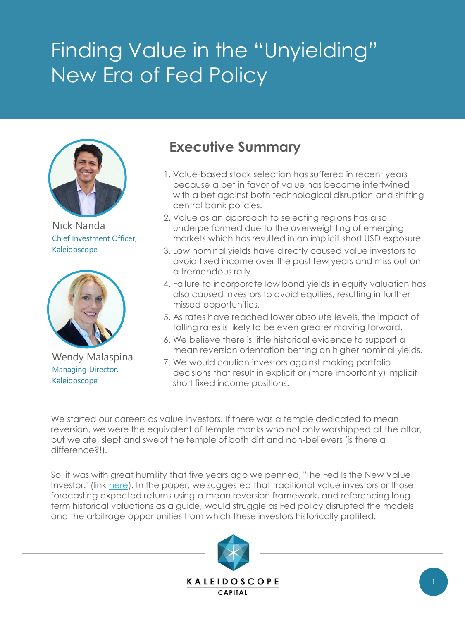# Finding Value in the "Unyielding" New Era of Fed Policy



Nick Nanda Chief Investment Officer, Kaleidoscope



Wendy Malaspina Managing Director, Kaleidoscope

### **Executive Summary**

- 1. Value-based stock selection has suffered in recent years because a bet in favor of value has become intertwined with a bet against both technological disruption and shifting central bank policies.
- 2. Value as an approach to selecting regions has also underperformed due to the overweighting of emerging markets which has resulted in an implicit short USD exposure.
- 3. Low nominal yields have directly caused value investors to avoid fixed income over the past few years and miss out on a tremendous rally.
- 4. Failure to incorporate low bond yields in equity valuation has also caused investors to avoid equities, resulting in further missed opportunities.
- 5. As rates have reached lower absolute levels, the impact of falling rates is likely to be even greater moving forward.
- 6. We believe there is little historical evidence to support a mean reversion orientation betting on higher nominal yields.
- 7. We would caution investors against making portfolio decisions that result in explicit or (more importantly) implicit short fixed income positions.

We started our careers as value investors. If there was a temple dedicated to mean reversion, we were the equivalent of temple monks who not only worshipped at the altar, but we ate, slept and swept the temple of both dirt and non-believers (is there a difference?!).

So, it was with great humility that five years ago we penned, "The Fed Is the New Value Investor." (link [here](http://assets.kldscap.com/2015Q1_FedValueInvestor.pdf)). In the paper, we suggested that traditional value investors or those forecasting expected returns using a mean reversion framework, and referencing longterm historical valuations as a guide, would struggle as Fed policy disrupted the models and the arbitrage opportunities from which these investors historically profited.

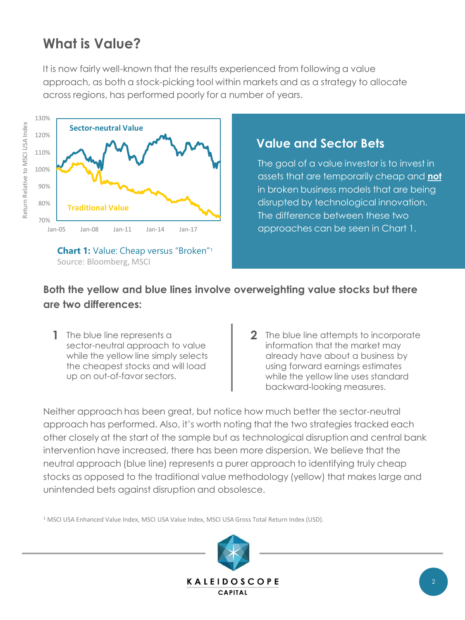# **What is Value?**

It is now fairly well-known that the results experienced from following a value approach, as both a stock-picking tool within markets and as a strategy to allocate across regions, has performed poorly for a number of years.



**Chart 1:** Value: Cheap versus "Broken"<sup>1</sup> Source: Bloomberg, MSCI

### **Value and Sector Bets**

The goal of a value investor is to invest in assets that are temporarily cheap and **not** in broken business models that are being disrupted by technological innovation. The difference between these two approaches can be seen in Chart 1.

### **Both the yellow and blue lines involve overweighting value stocks but there are two differences:**

- **1** The blue line represents a  $\vert$  **2** sector-neutral approach to value while the yellow line simply selects the cheapest stocks and will load up on out-of-favor sectors.
- 2 The blue line attempts to incorporate information that the market may already have about a business by using forward earnings estimates while the yellow line uses standard backward-looking measures.

Neither approach has been great, but notice how much better the sector-neutral approach has performed. Also, it's worth noting that the two strategies tracked each other closely at the start of the sample but as technological disruption and central bank intervention have increased, there has been more dispersion. We believe that the neutral approach (blue line) represents a purer approach to identifying truly cheap stocks as opposed to the traditional value methodology (yellow) that makes large and unintended bets against disruption and obsolesce.

<sup>1</sup> MSCI USA Enhanced Value Index, MSCI USA Value Index, MSCI USA Gross Total Return Index (USD).

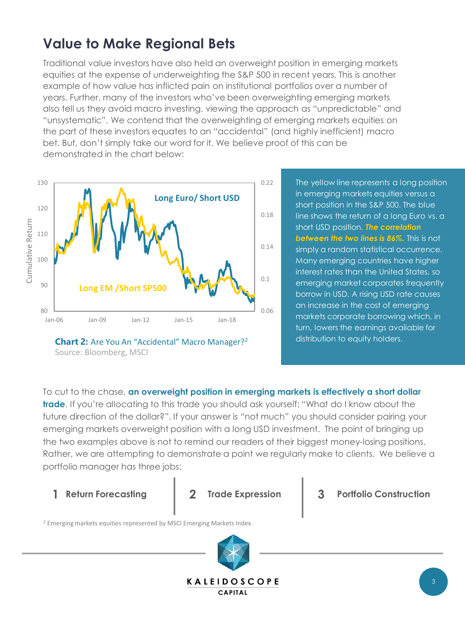# **Value to Make Regional Bets**

Traditional value investors have also held an overweight position in emerging markets equities at the expense of underweighting the S&P 500 in recent years. This is another example of how value has inflicted pain on institutional portfolios over a number of years. Further, many of the investors who've been overweighting emerging markets also tell us they avoid macro investing, viewing the approach as "unpredictable" and "unsystematic". We contend that the overweighting of emerging markets equities on the part of these investors equates to an "accidental" (and highly inefficient) macro bet. But, don't simply take our word for it. We believe proof of this can be demonstrated in the chart below:



**Chart 2:** Are You An "Accidental" Macro Manager?<sup>2</sup> Source: Bloomberg, MSCI

The yellow line represents a long position in emerging markets equities versus a short position in the S&P 500. The blue line shows the return of a long Euro vs. a short USD position. *The correlation between the two lines is 86%.* This is not simply a random statistical occurrence. Many emerging countries have higher interest rates than the United States, so emerging market corporates frequently borrow in USD. A rising USD rate causes an increase in the cost of emerging markets corporate borrowing which, in turn, lowers the earnings available for distribution to equity holders.

To cut to the chase, **an overweight position in emerging markets is effectively a short dollar trade**. If you're allocating to this trade you should ask yourself: "What do I know about the future direction of the dollar?". If your answer is "not much" you should consider pairing your emerging markets overweight position with a long USD investment. The point of bringing up the two examples above is not to remind our readers of their biggest money-losing positions. Rather, we are attempting to demonstrate a point we regularly make to clients. We believe a portfolio manager has three jobs:



**1 Return Forecasting 2 Trade Expression 3 Portfolio Construction**

<sup>2</sup> Emerging markets equities represented by MSCI Emerging Markets Index.

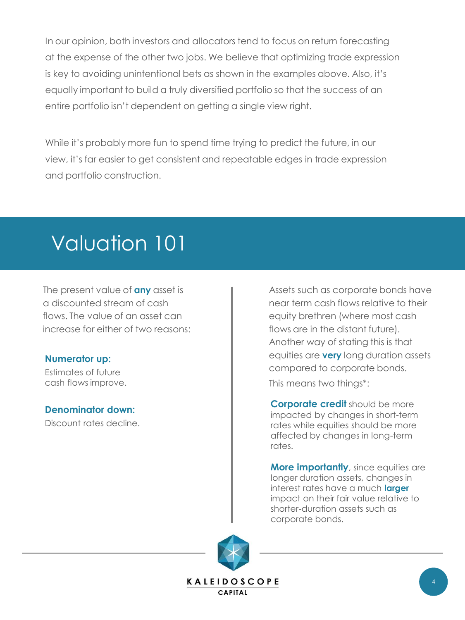In our opinion, both investors and allocators tend to focus on return forecasting at the expense of the other two jobs. We believe that optimizing trade expression is key to avoiding unintentional bets as shown in the examples above. Also, it's equally important to build a truly diversified portfolio so that the success of an entire portfolio isn't dependent on getting a single view right.

While it's probably more fun to spend time trying to predict the future, in our view, it's far easier to get consistent and repeatable edges in trade expression and portfolio construction.

# Valuation 101

The present value of **any** asset is a discounted stream of cash flows. The value of an asset can increase for either of two reasons:

#### **Numerator up:**

Estimates of future cash flows improve.

#### **Denominator down:**

Discount rates decline.

Assets such as corporate bonds have near term cash flows relative to their equity brethren (where most cash flows are in the distant future). Another way of stating this is that equities are **very** long duration assets compared to corporate bonds.

This means two things\*:

**Corporate credit** should be more impacted by changes in short-term rates while equities should be more affected by changes in long-term rates.

**More importantly**, since equities are longer duration assets, changes in interest rates have a much **larger**  impact on their fair value relative to shorter-duration assets such as corporate bonds.

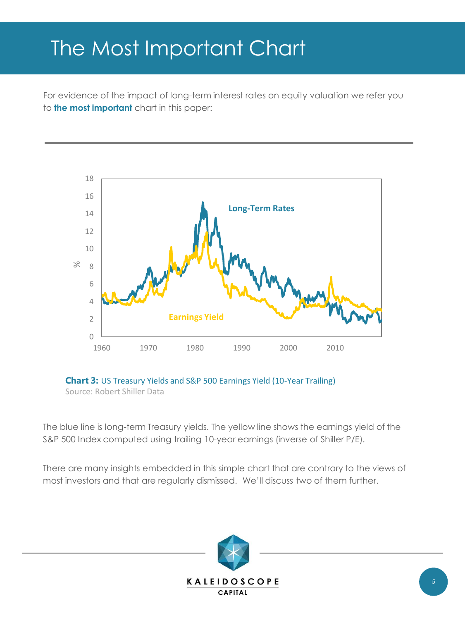# The Most Important Chart

For evidence of the impact of long-term interest rates on equity valuation we refer you to **the most important** chart in this paper:





The blue line is long-term Treasury yields. The yellow line shows the earnings yield of the S&P 500 Index computed using trailing 10-year earnings (inverse of Shiller P/E).

There are many insights embedded in this simple chart that are contrary to the views of most investors and that are regularly dismissed. We'll discuss two of them further.

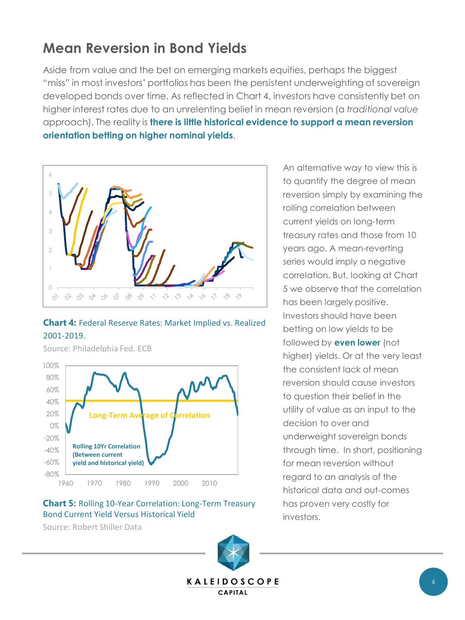### **Mean Reversion in Bond Yields**

Aside from value and the bet on emerging markets equities, perhaps the biggest "miss" in most investors' portfolios has been the persistent underweighting of sovereign developed bonds over time. As reflected in Chart 4, investors have consistently bet on higher interest rates due to an unrelenting belief in mean reversion (a *traditional value* approach). The reality is **there is little historical evidence to support a mean reversion orientation betting on higher nominal yields**.



### **Chart 4:** Federal Reserve Rates: Market Implied vs. Realized 2001-2019.



Source: Philadelphia Fed, ECB

#### **Chart 5:** Rolling 10-Year Correlation: Long-Term Treasury Bond Current Yield Versus Historical Yield

Source: Robert Shiller Data



An alternative way to view this is to quantify the degree of mean reversion simply by examining the rolling correlation between current yields on long-term treasury rates and those from 10 years ago. A mean-reverting series would imply a negative correlation. But, looking at Chart 5 we observe that the correlation has been largely positive. Investors should have been betting on low yields to be followed by **even lower** (not higher) yields. Or at the very least the consistent lack of mean reversion should cause investors to question their belief in the utility of value as an input to the decision to over and underweight sovereign bonds through time. In short, positioning for mean reversion without regard to an analysis of the historical data and out-comes has proven very costly for investors.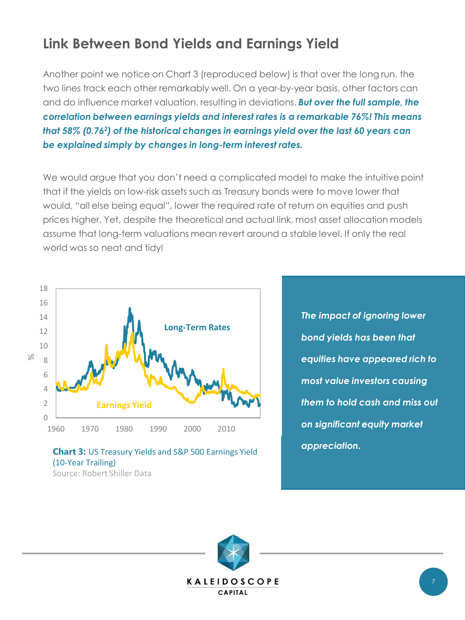# **Link Between Bond Yields and Earnings Yield**

Another point we notice on Chart 3 (reproduced below) is that over the long run, the two lines track each other remarkably well. On a year-by-year basis, other factors can and do influence market valuation, resulting in deviations. *But over the full sample, the correlation between earnings yields and interest rates is a remarkable 76%! This means that 58% (0.76<sup>2</sup> ) of the historical changes in earnings yield over the last 60 years can be explained simply by changes in long-term interest rates.*

We would argue that you don't need a complicated model to make the intuitive point that if the yields on low-risk assets such as Treasury bonds were to move lower that would, "all else being equal", lower the required rate of return on equities and push prices higher. Yet, despite the theoretical and actual link, most asset allocation models assume that long-term valuations mean revert around a stable level. If only the real world was so neat and tidy!



#### **Chart 3:** US Treasury Yields and S&P 500 Earnings Yield (10-Year Trailing) Source: Robert Shiller Data

*The impact of ignoring lower bond yields has been that equities have appeared rich to most value investors causing them to hold cash and miss out on significant equity market appreciation.* 

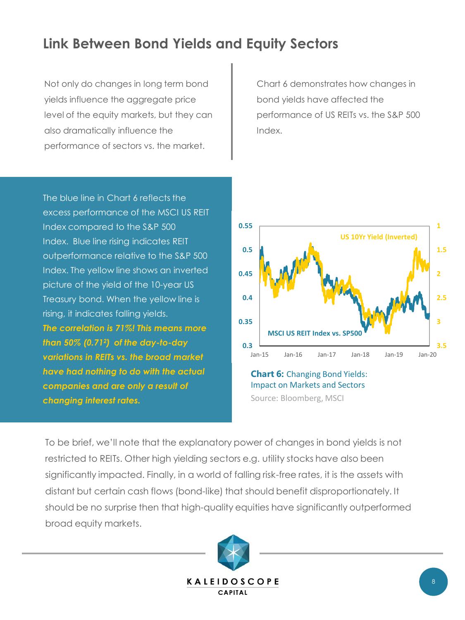## **Link Between Bond Yields and Equity Sectors**

Not only do changes in long term bond yields influence the aggregate price level of the equity markets, but they can also dramatically influence the performance of sectors vs. the market.

Chart 6 demonstrates how changes in bond yields have affected the performance of US REITs vs. the S&P 500 Index.

The blue line in Chart 6 reflects the excess performance of the MSCI US REIT Index compared to the S&P 500 Index. Blue line rising indicates REIT outperformance relative to the S&P 500 Index. The yellow line shows an inverted picture of the yield of the 10-year US Treasury bond. When the yellow line is rising, it indicates falling yields. *The correlation is 71%! This means more than 50% (0.71<sup>2</sup> ) of the day-to-day variations in REITs vs. the broad market have had nothing to do with the actual companies and are only a result of changing interest rates.*



**Chart 6:** Changing Bond Yields: Impact on Markets and Sectors Source: Bloomberg, MSCI

To be brief, we'll note that the explanatory power of changes in bond yields is not restricted to REITs. Other high yielding sectors e.g. utility stocks have also been significantly impacted. Finally, in a world of falling risk-free rates, it is the assets with distant but certain cash flows (bond-like) that should benefit disproportionately. It should be no surprise then that high-quality equities have significantly outperformed broad equity markets.

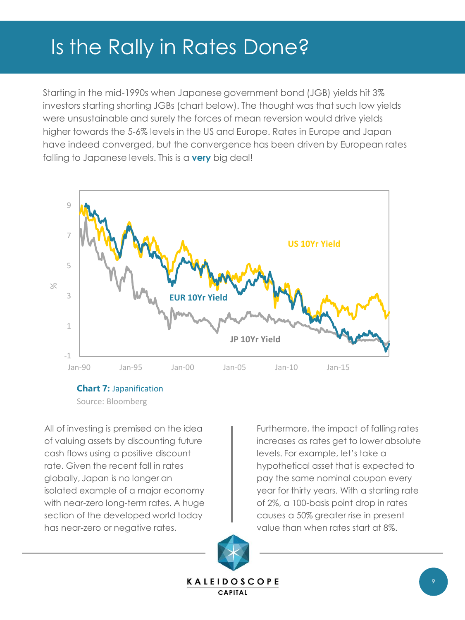# Is the Rally in Rates Done?

Starting in the mid-1990s when Japanese government bond (JGB) yields hit 3% investors starting shorting JGBs (chart below). The thought was that such low yields were unsustainable and surely the forces of mean reversion would drive yields higher towards the 5-6% levels in the US and Europe. Rates in Europe and Japan have indeed converged, but the convergence has been driven by European rates falling to Japanese levels. This is a **very** big deal!



**Chart 7:** Japanification

Source: Bloomberg

All of investing is premised on the idea of valuing assets by discounting future cash flows using a positive discount rate. Given the recent fall in rates globally, Japan is no longer an isolated example of a major economy with near-zero long-term rates. A huge section of the developed world today has near-zero or negative rates.

Furthermore, the impact of falling rates increases as rates get to lower absolute levels. For example, let's take a hypothetical asset that is expected to pay the same nominal coupon every year for thirty years. With a starting rate of 2%, a 100-basis point drop in rates causes a 50% greater rise in present value than when rates start at 8%.

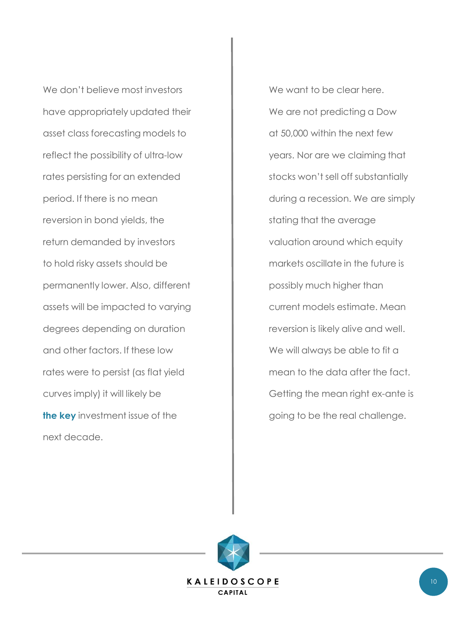We don't believe most investors have appropriately updated their asset class forecasting models to reflect the possibility of ultra-low rates persisting for an extended period. If there is no mean reversion in bond yields, the return demanded by investors to hold risky assets should be permanently lower. Also, different assets will be impacted to varying degrees depending on duration and other factors. If these low rates were to persist (as flat yield curves imply) it will likely be **the key** investment issue of the next decade.

We want to be clear here. We are not predicting a Dow at 50,000 within the next few years. Nor are we claiming that stocks won't sell off substantially during a recession. We are simply stating that the average valuation around which equity markets oscillate in the future is possibly much higher than current models estimate. Mean reversion is likely alive and well. We will always be able to fit a mean to the data after the fact. Getting the mean right ex-ante is going to be the real challenge.